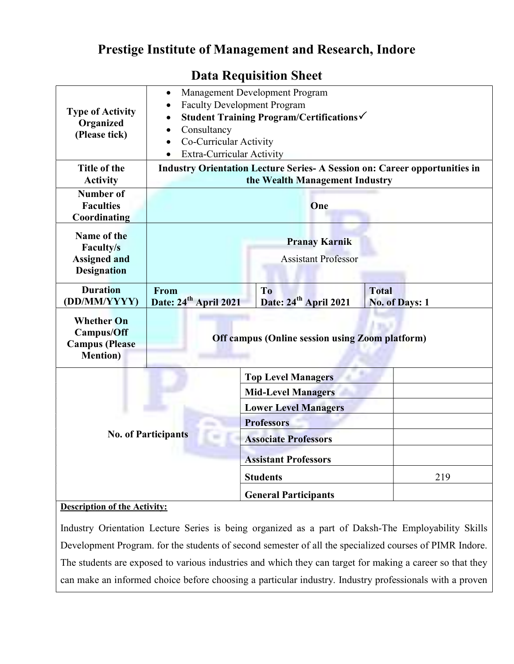## Prestige Institute of Management and Research, Indore

| <b>Type of Activity</b><br>Organized<br>(Please tick)                               | Management Development Program<br>$\bullet$<br><b>Faculty Development Program</b><br>$\bullet$<br>Student Training Program/Certifications√<br>$\bullet$<br>Consultancy<br>$\bullet$<br>Co-Curricular Activity<br>$\bullet$<br><b>Extra-Curricular Activity</b><br>$\bullet$ |                                                          |                                |
|-------------------------------------------------------------------------------------|-----------------------------------------------------------------------------------------------------------------------------------------------------------------------------------------------------------------------------------------------------------------------------|----------------------------------------------------------|--------------------------------|
| Title of the<br><b>Activity</b>                                                     | <b>Industry Orientation Lecture Series- A Session on: Career opportunities in</b><br>the Wealth Management Industry                                                                                                                                                         |                                                          |                                |
| <b>Number of</b><br><b>Faculties</b><br>Coordinating                                | One                                                                                                                                                                                                                                                                         |                                                          |                                |
| Name of the<br>Faculty/s<br><b>Assigned and</b><br><b>Designation</b>               | <b>Pranay Karnik</b><br><b>Assistant Professor</b>                                                                                                                                                                                                                          |                                                          |                                |
| <b>Duration</b><br>(DD/MM/YYYY)                                                     | From<br>Date: 24 <sup>th</sup> April 2021                                                                                                                                                                                                                                   | T <sub>o</sub><br>Date: 24 <sup>th</sup> April 2021      | <b>Total</b><br>No. of Days: 1 |
| <b>Whether On</b><br><b>Campus/Off</b><br><b>Campus</b> (Please<br><b>Mention</b> ) | <b>Off campus (Online session using Zoom platform)</b>                                                                                                                                                                                                                      |                                                          |                                |
|                                                                                     |                                                                                                                                                                                                                                                                             | <b>Top Level Managers</b>                                |                                |
| <b>No. of Participants</b>                                                          |                                                                                                                                                                                                                                                                             | <b>Mid-Level Managers</b><br><b>Lower Level Managers</b> |                                |
|                                                                                     |                                                                                                                                                                                                                                                                             | <b>Professors</b>                                        |                                |
|                                                                                     |                                                                                                                                                                                                                                                                             | <b>Associate Professors</b>                              |                                |
|                                                                                     |                                                                                                                                                                                                                                                                             | <b>Assistant Professors</b>                              |                                |
|                                                                                     |                                                                                                                                                                                                                                                                             | <b>Students</b>                                          | 219                            |
| $P \cup I$                                                                          |                                                                                                                                                                                                                                                                             | <b>General Participants</b>                              |                                |

## Data Requisition Sheet

## **Description of the Activity:**

Industry Orientation Lecture Series is being organized as a part of Daksh-The Employability Skills Development Program. for the students of second semester of all the specialized courses of PIMR Indore. The students are exposed to various industries and which they can target for making a career so that they can make an informed choice before choosing a particular industry. Industry professionals with a proven